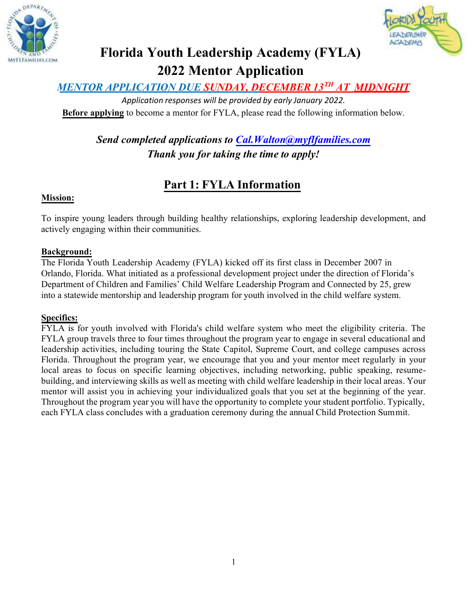



# **Florida Youth Leadership Academy (FYLA) 2022 Mentor Application**

## *MENTOR APPLICATION DUE SUNDAY, DECEMBER 13TH AT MIDNIGHT*

*Application responses will be provided by early January 2022.* **Before applying** to become a mentor for FYLA, please read the following information below.

> *Send completed applications to Cal.Walton@myflfamilies.com Thank you for taking the time to apply!*

## **Part 1: FYLA Information**

#### **Mission:**

To inspire young leaders through building healthy relationships, exploring leadership development, and actively engaging within their communities.

#### **Background:**

The Florida Youth Leadership Academy (FYLA) kicked off its first class in December 2007 in Orlando, Florida. What initiated as a professional development project under the direction of Florida's Department of Children and Families' Child Welfare Leadership Program and Connected by 25, grew into a statewide mentorship and leadership program for youth involved in the child welfare system.

#### **Specifics:**

FYLA is for youth involved with Florida's child welfare system who meet the eligibility criteria. The FYLA group travels three to four times throughout the program year to engage in several educational and leadership activities, including touring the State Capitol, Supreme Court, and college campuses across Florida. Throughout the program year, we encourage that you and your mentor meet regularly in your local areas to focus on specific learning objectives, including networking, public speaking, resumebuilding, and interviewing skills as well as meeting with child welfare leadership in their local areas. Your mentor will assist you in achieving your individualized goals that you set at the beginning of the year. Throughout the program year you will have the opportunity to complete your student portfolio. Typically, each FYLA class concludes with a graduation ceremony during the annual Child Protection Summit.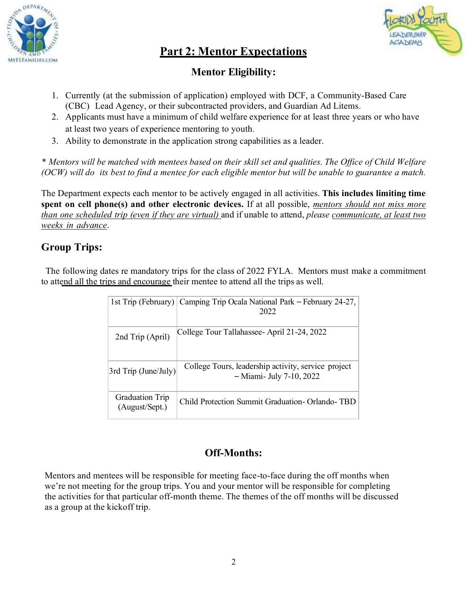



## **Part 2: Mentor Expectations**

### **Mentor Eligibility:**

- 1. Currently (at the submission of application) employed with DCF, a Community-Based Care (CBC) Lead Agency, or their subcontracted providers, and Guardian Ad Litems.
- 2. Applicants must have a minimum of child welfare experience for at least three years or who have at least two years of experience mentoring to youth.
- 3. Ability to demonstrate in the application strong capabilities as a leader.

*\* Mentors will be matched with mentees based on their skill set and qualities. The Office of Child Welfare (OCW) will do its best to find a mentee for each eligible mentor but will be unable to guarantee a match.*

The Department expects each mentor to be actively engaged in all activities. **This includes limiting time spent on cell phone(s) and other electronic devices.** If at all possible, *mentors should not miss more than one scheduled trip (even if they are virtual)* and if unable to attend, *please communicate, at least two weeks in advance*.

## **Group Trips:**

 The following dates re mandatory trips for the class of 2022 FYLA. Mentors must make a commitment to attend all the trips and encourage their mentee to attend all the trips as well.

|                                          | 1st Trip (February) Camping Trip Ocala National Park – February 24-27,<br>2022  |
|------------------------------------------|---------------------------------------------------------------------------------|
| 2nd Trip (April)                         | College Tour Tallahassee-April 21-24, 2022                                      |
| 3rd Trip (June/July)                     | College Tours, leadership activity, service project<br>- Miami- July 7-10, 2022 |
| <b>Graduation Trip</b><br>(August/Sept.) | Child Protection Summit Graduation-Orlando-TBD                                  |

### **Off-Months:**

Mentors and mentees will be responsible for meeting face-to-face during the off months when we're not meeting for the group trips. You and your mentor will be responsible for completing the activities for that particular off-month theme. The themes of the off months will be discussed as a group at the kickoff trip.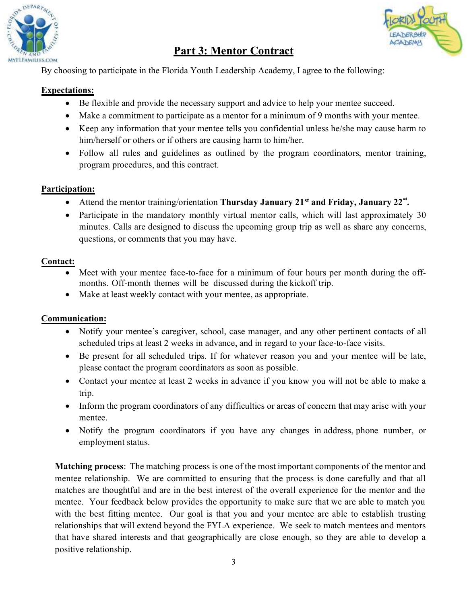

## **Part 3: Mentor Contract**



By choosing to participate in the Florida Youth Leadership Academy, I agree to the following:

#### **Expectations:**

- Be flexible and provide the necessary support and advice to help your mentee succeed.
- Make a commitment to participate as a mentor for a minimum of 9 months with your mentee.
- Keep any information that your mentee tells you confidential unless he/she may cause harm to him/herself or others or if others are causing harm to him/her.
- Follow all rules and guidelines as outlined by the program coordinators, mentor training, program procedures, and this contract.

#### **Participation:**

- Attend the mentor training/orientation **Thursday January 21<sup>st</sup> and Friday, January 22<sup>nd</sup>.**
- Participate in the mandatory monthly virtual mentor calls, which will last approximately 30 minutes. Calls are designed to discuss the upcoming group trip as well as share any concerns, questions, or comments that you may have.

#### **Contact:**

- Meet with your mentee face-to-face for a minimum of four hours per month during the offmonths. Off-month themes will be discussed during the kickoff trip.
- Make at least weekly contact with your mentee, as appropriate.

#### **Communication:**

- Notify your mentee's caregiver, school, case manager, and any other pertinent contacts of all scheduled trips at least 2 weeks in advance, and in regard to your face-to-face visits.
- Be present for all scheduled trips. If for whatever reason you and your mentee will be late, please contact the program coordinators as soon as possible.
- Contact your mentee at least 2 weeks in advance if you know you will not be able to make a trip.
- Inform the program coordinators of any difficulties or areas of concern that may arise with your mentee.
- Notify the program coordinators if you have any changes in address, phone number, or employment status.

**Matching process**: The matching process is one of the most important components of the mentor and mentee relationship. We are committed to ensuring that the process is done carefully and that all matches are thoughtful and are in the best interest of the overall experience for the mentor and the mentee. Your feedback below provides the opportunity to make sure that we are able to match you with the best fitting mentee. Our goal is that you and your mentee are able to establish trusting relationships that will extend beyond the FYLA experience. We seek to match mentees and mentors that have shared interests and that geographically are close enough, so they are able to develop a positive relationship.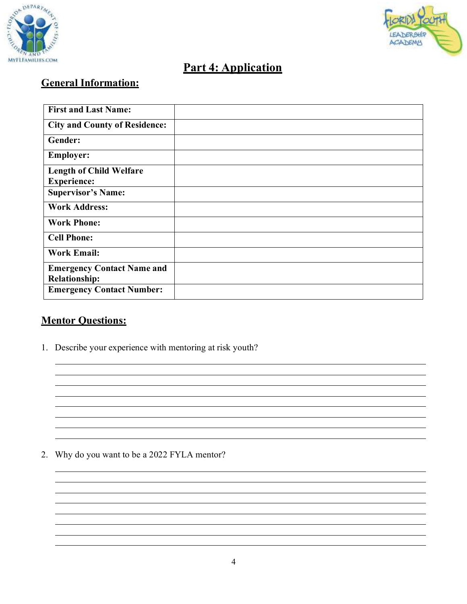



## **Part 4: Application**

## **General Information:**

| <b>First and Last Name:</b>          |  |
|--------------------------------------|--|
| <b>City and County of Residence:</b> |  |
| Gender:                              |  |
| <b>Employer:</b>                     |  |
| <b>Length of Child Welfare</b>       |  |
| <b>Experience:</b>                   |  |
| <b>Supervisor's Name:</b>            |  |
| <b>Work Address:</b>                 |  |
| <b>Work Phone:</b>                   |  |
| <b>Cell Phone:</b>                   |  |
| <b>Work Email:</b>                   |  |
| <b>Emergency Contact Name and</b>    |  |
| <b>Relationship:</b>                 |  |
| <b>Emergency Contact Number:</b>     |  |

### **Mentor Questions:**

1. Describe your experience with mentoring at risk youth?

2. Why do you want to be a 2022 FYLA mentor?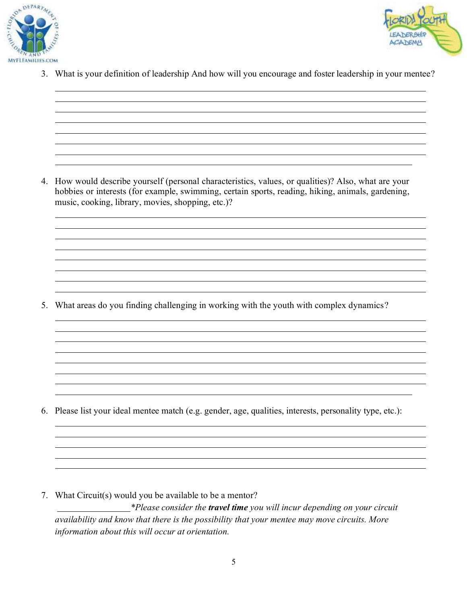



3. What is your definition of leadership And how will you encourage and foster leadership in your mentee?

4. How would describe yourself (personal characteristics, values, or qualities)? Also, what are your hobbies or interests (for example, swimming, certain sports, reading, hiking, animals, gardening, music, cooking, library, movies, shopping, etc.)?

5. What areas do you finding challenging in working with the youth with complex dynamics?

6. Please list your ideal mentee match (e.g. gender, age, qualities, interests, personality type, etc.):

7. What Circuit(s) would you be available to be a mentor? *\*Please consider the travel time you will incur depending on your circuit availability and know that there is the possibility that your mentee may move circuits. More information about this will occur at orientation.*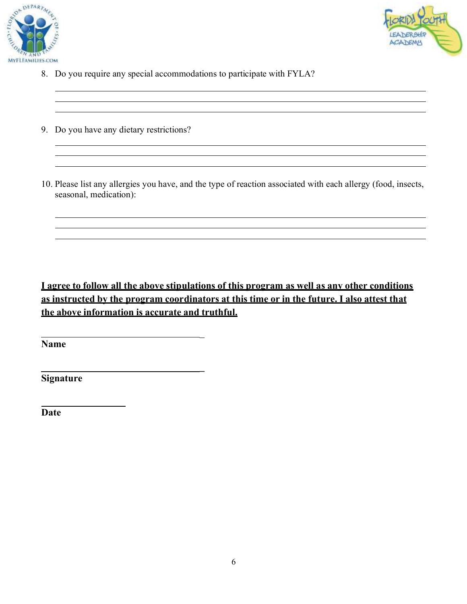



- 8. Do you require any special accommodations to participate with FYLA?
- 9. Do you have any dietary restrictions?
- 10. Please list any allergies you have, and the type of reaction associated with each allergy (food, insects, seasonal, medication):

**I agree to follow all the above stipulations of this program as well as any other conditions as instructed by the program coordinators at this time or in the future. I also attest that the above information is accurate and truthful.**

 $\frac{1}{2}$ 

**\_**

**Name**

**Signature**

**Date**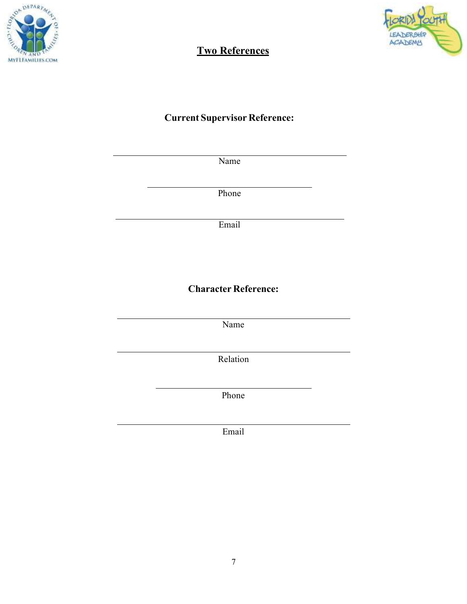



## **Two References**

### **Current Supervisor Reference:**

Name

Phone

Email

### **Character Reference:**

Name

Relation

Phone

Email